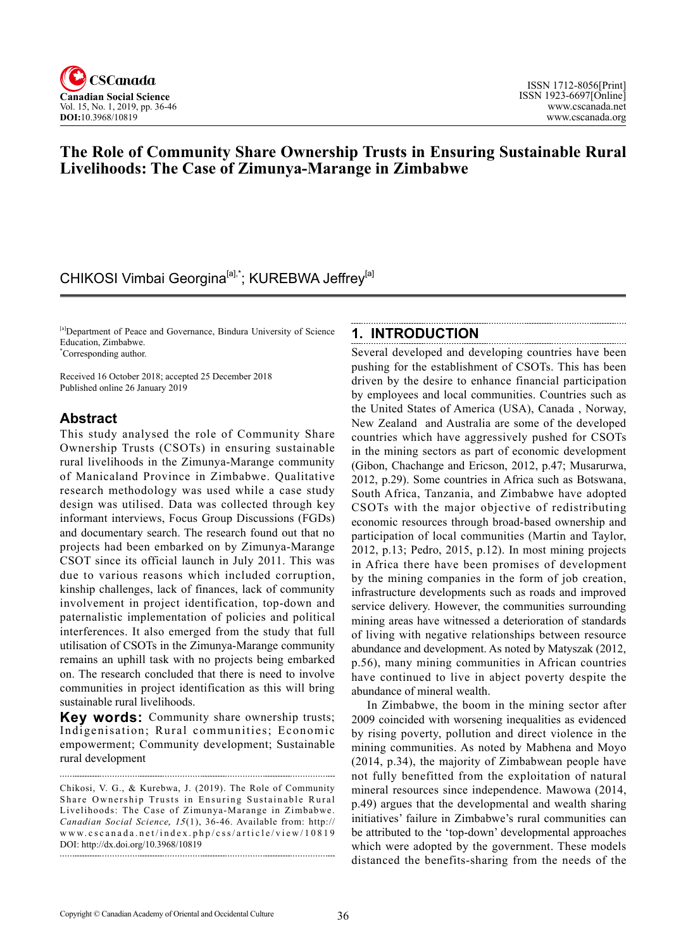

# **The Role of Community Share Ownership Trusts in Ensuring Sustainable Rural Livelihoods: The Case of Zimunya-Marange in Zimbabwe**

# CHIKOSI Vimbai Georgina<sup>[a],\*</sup>; KUREBWA Jeffrey<sup>[a]</sup>

[a]Department of Peace and Governance, Bindura University of Science Education, Zimbabwe. \* Corresponding author.

Received 16 October 2018; accepted 25 December 2018 Published online 26 January 2019

### **Abstract**

This study analysed the role of Community Share Ownership Trusts (CSOTs) in ensuring sustainable rural livelihoods in the Zimunya-Marange community of Manicaland Province in Zimbabwe. Qualitative research methodology was used while a case study design was utilised. Data was collected through key informant interviews, Focus Group Discussions (FGDs) and documentary search. The research found out that no projects had been embarked on by Zimunya-Marange CSOT since its official launch in July 2011. This was due to various reasons which included corruption, kinship challenges, lack of finances, lack of community involvement in project identification, top-down and paternalistic implementation of policies and political interferences. It also emerged from the study that full utilisation of CSOTs in the Zimunya-Marange community remains an uphill task with no projects being embarked on. The research concluded that there is need to involve communities in project identification as this will bring sustainable rural livelihoods.

**Key words:** Community share ownership trusts; Indigenisation; Rural communities; Economic empowerment; Community development; Sustainable rural development

#### **1. INTRODUCTION**

Several developed and developing countries have been pushing for the establishment of CSOTs. This has been driven by the desire to enhance financial participation by employees and local communities. Countries such as the United States of America (USA), Canada , Norway, New Zealand and Australia are some of the developed countries which have aggressively pushed for CSOTs in the mining sectors as part of economic development (Gibon, Chachange and Ericson, 2012, p.47; Musarurwa, 2012, p.29). Some countries in Africa such as Botswana, South Africa, Tanzania, and Zimbabwe have adopted CSOTs with the major objective of redistributing economic resources through broad-based ownership and participation of local communities (Martin and Taylor, 2012, p.13; Pedro, 2015, p.12). In most mining projects in Africa there have been promises of development by the mining companies in the form of job creation, infrastructure developments such as roads and improved service delivery. However, the communities surrounding mining areas have witnessed a deterioration of standards of living with negative relationships between resource abundance and development. As noted by Matyszak (2012, p.56), many mining communities in African countries have continued to live in abject poverty despite the abundance of mineral wealth.

In Zimbabwe, the boom in the mining sector after 2009 coincided with worsening inequalities as evidenced by rising poverty, pollution and direct violence in the mining communities. As noted by Mabhena and Moyo (2014, p.34), the majority of Zimbabwean people have not fully benefitted from the exploitation of natural mineral resources since independence. Mawowa (2014, p.49) argues that the developmental and wealth sharing initiatives' failure in Zimbabwe's rural communities can be attributed to the 'top-down' developmental approaches which were adopted by the government. These models distanced the benefits-sharing from the needs of the

Chikosi, V. G., & Kurebwa, J. (2019). The Role of Community Share Ownership Trusts in Ensuring Sustainable Rural Livelihoods: The Case of Zimunya-Marange in Zimbabwe. *Canadian Social Science, 15*(1), 36-46. Available from: http:// www.cscanada.net/index.php/css/article/view/10819 DOI: http://dx.doi.org/10.3968/10819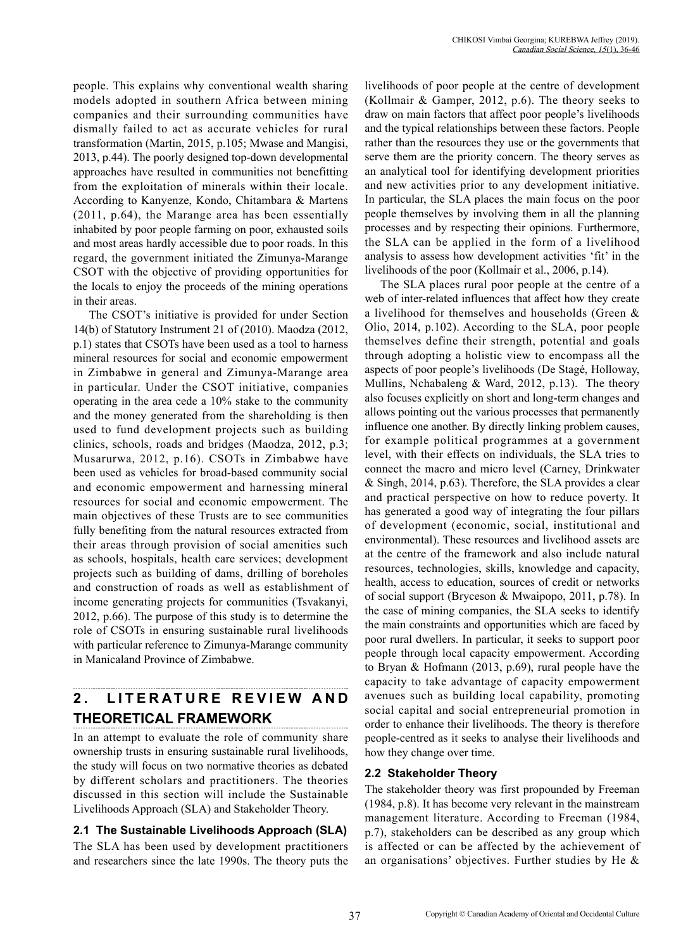people. This explains why conventional wealth sharing models adopted in southern Africa between mining companies and their surrounding communities have dismally failed to act as accurate vehicles for rural transformation (Martin, 2015, p.105; Mwase and Mangisi, 2013, p.44). The poorly designed top-down developmental approaches have resulted in communities not benefitting from the exploitation of minerals within their locale. According to Kanyenze, Kondo, Chitambara & Martens (2011, p.64), the Marange area has been essentially inhabited by poor people farming on poor, exhausted soils and most areas hardly accessible due to poor roads. In this regard, the government initiated the Zimunya-Marange CSOT with the objective of providing opportunities for the locals to enjoy the proceeds of the mining operations in their areas.

The CSOT's initiative is provided for under Section 14(b) of Statutory Instrument 21 of (2010). Maodza (2012, p.1) states that CSOTs have been used as a tool to harness mineral resources for social and economic empowerment in Zimbabwe in general and Zimunya-Marange area in particular. Under the CSOT initiative, companies operating in the area cede a 10% stake to the community and the money generated from the shareholding is then used to fund development projects such as building clinics, schools, roads and bridges (Maodza, 2012, p.3; Musarurwa, 2012, p.16). CSOTs in Zimbabwe have been used as vehicles for broad-based community social and economic empowerment and harnessing mineral resources for social and economic empowerment. The main objectives of these Trusts are to see communities fully benefiting from the natural resources extracted from their areas through provision of social amenities such as schools, hospitals, health care services; development projects such as building of dams, drilling of boreholes and construction of roads as well as establishment of income generating projects for communities (Tsvakanyi, 2012, p.66). The purpose of this study is to determine the role of CSOTs in ensuring sustainable rural livelihoods with particular reference to Zimunya-Marange community in Manicaland Province of Zimbabwe.

# **2. LITERATURE REVIEW AND THEORETICAL FRAMEWORK**

In an attempt to evaluate the role of community share ownership trusts in ensuring sustainable rural livelihoods, the study will focus on two normative theories as debated by different scholars and practitioners. The theories discussed in this section will include the Sustainable Livelihoods Approach (SLA) and Stakeholder Theory.

### **2.1 The Sustainable Livelihoods Approach (SLA)**

The SLA has been used by development practitioners and researchers since the late 1990s. The theory puts the livelihoods of poor people at the centre of development (Kollmair & Gamper, 2012, p.6). The theory seeks to draw on main factors that affect poor people's livelihoods and the typical relationships between these factors. People rather than the resources they use or the governments that serve them are the priority concern. The theory serves as an analytical tool for identifying development priorities and new activities prior to any development initiative. In particular, the SLA places the main focus on the poor people themselves by involving them in all the planning processes and by respecting their opinions. Furthermore, the SLA can be applied in the form of a livelihood analysis to assess how development activities 'fit' in the livelihoods of the poor (Kollmair et al., 2006, p.14).

The SLA places rural poor people at the centre of a web of inter-related influences that affect how they create a livelihood for themselves and households (Green & Olio, 2014, p.102). According to the SLA, poor people themselves define their strength, potential and goals through adopting a holistic view to encompass all the aspects of poor people's livelihoods (De Stagé, Holloway, Mullins, Nchabaleng & Ward, 2012, p.13). The theory also focuses explicitly on short and long-term changes and allows pointing out the various processes that permanently influence one another. By directly linking problem causes, for example political programmes at a government level, with their effects on individuals, the SLA tries to connect the macro and micro level (Carney, Drinkwater & Singh, 2014, p.63). Therefore, the SLA provides a clear and practical perspective on how to reduce poverty. It has generated a good way of integrating the four pillars of development (economic, social, institutional and environmental). These resources and livelihood assets are at the centre of the framework and also include natural resources, technologies, skills, knowledge and capacity, health, access to education, sources of credit or networks of social support (Bryceson & Mwaipopo, 2011, p.78). In the case of mining companies, the SLA seeks to identify the main constraints and opportunities which are faced by poor rural dwellers. In particular, it seeks to support poor people through local capacity empowerment. According to Bryan & Hofmann (2013, p.69), rural people have the capacity to take advantage of capacity empowerment avenues such as building local capability, promoting social capital and social entrepreneurial promotion in order to enhance their livelihoods. The theory is therefore people-centred as it seeks to analyse their livelihoods and how they change over time.

### **2.2 Stakeholder Theory**

The stakeholder theory was first propounded by Freeman (1984, p.8). It has become very relevant in the mainstream management literature. According to Freeman (1984, p.7), stakeholders can be described as any group which is affected or can be affected by the achievement of an organisations' objectives. Further studies by He &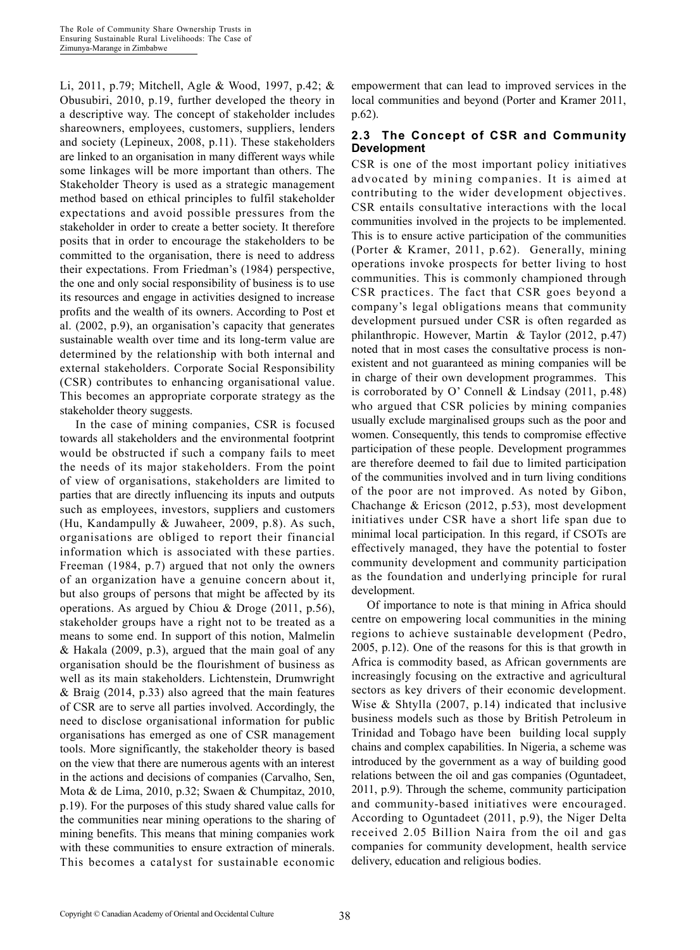Li, 2011, p.79; Mitchell, Agle & Wood, 1997, p.42; & Obusubiri, 2010, p.19, further developed the theory in a descriptive way. The concept of stakeholder includes shareowners, employees, customers, suppliers, lenders and society (Lepineux, 2008, p.11). These stakeholders are linked to an organisation in many different ways while some linkages will be more important than others. The Stakeholder Theory is used as a strategic management method based on ethical principles to fulfil stakeholder expectations and avoid possible pressures from the stakeholder in order to create a better society. It therefore posits that in order to encourage the stakeholders to be committed to the organisation, there is need to address their expectations. From Friedman's (1984) perspective, the one and only social responsibility of business is to use its resources and engage in activities designed to increase profits and the wealth of its owners. According to Post et al. (2002, p.9), an organisation's capacity that generates sustainable wealth over time and its long-term value are determined by the relationship with both internal and external stakeholders. Corporate Social Responsibility (CSR) contributes to enhancing organisational value. This becomes an appropriate corporate strategy as the stakeholder theory suggests.

In the case of mining companies, CSR is focused towards all stakeholders and the environmental footprint would be obstructed if such a company fails to meet the needs of its major stakeholders. From the point of view of organisations, stakeholders are limited to parties that are directly influencing its inputs and outputs such as employees, investors, suppliers and customers (Hu, Kandampully & Juwaheer, 2009, p.8). As such, organisations are obliged to report their financial information which is associated with these parties. Freeman (1984, p.7) argued that not only the owners of an organization have a genuine concern about it, but also groups of persons that might be affected by its operations. As argued by Chiou & Droge (2011, p.56), stakeholder groups have a right not to be treated as a means to some end. In support of this notion, Malmelin & Hakala (2009, p.3), argued that the main goal of any organisation should be the flourishment of business as well as its main stakeholders. Lichtenstein, Drumwright & Braig (2014, p.33) also agreed that the main features of CSR are to serve all parties involved. Accordingly, the need to disclose organisational information for public organisations has emerged as one of CSR management tools. More significantly, the stakeholder theory is based on the view that there are numerous agents with an interest in the actions and decisions of companies (Carvalho, Sen, Mota & de Lima, 2010, p.32; Swaen & Chumpitaz, 2010, p.19). For the purposes of this study shared value calls for the communities near mining operations to the sharing of mining benefits. This means that mining companies work with these communities to ensure extraction of minerals. This becomes a catalyst for sustainable economic

empowerment that can lead to improved services in the local communities and beyond (Porter and Kramer 2011, p.62).

#### **2.3 The Concept of CSR and Community Development**

CSR is one of the most important policy initiatives advocated by mining companies. It is aimed at contributing to the wider development objectives. CSR entails consultative interactions with the local communities involved in the projects to be implemented. This is to ensure active participation of the communities (Porter & Kramer, 2011, p.62). Generally, mining operations invoke prospects for better living to host communities. This is commonly championed through CSR practices. The fact that CSR goes beyond a company's legal obligations means that community development pursued under CSR is often regarded as philanthropic. However, Martin & Taylor (2012, p.47) noted that in most cases the consultative process is nonexistent and not guaranteed as mining companies will be in charge of their own development programmes. This is corroborated by O' Connell & Lindsay (2011, p.48) who argued that CSR policies by mining companies usually exclude marginalised groups such as the poor and women. Consequently, this tends to compromise effective participation of these people. Development programmes are therefore deemed to fail due to limited participation of the communities involved and in turn living conditions of the poor are not improved. As noted by Gibon, Chachange & Ericson (2012, p.53), most development initiatives under CSR have a short life span due to minimal local participation. In this regard, if CSOTs are effectively managed, they have the potential to foster community development and community participation as the foundation and underlying principle for rural development.

Of importance to note is that mining in Africa should centre on empowering local communities in the mining regions to achieve sustainable development (Pedro, 2005, p.12). One of the reasons for this is that growth in Africa is commodity based, as African governments are increasingly focusing on the extractive and agricultural sectors as key drivers of their economic development. Wise & Shtylla (2007, p.14) indicated that inclusive business models such as those by British Petroleum in Trinidad and Tobago have been building local supply chains and complex capabilities. In Nigeria, a scheme was introduced by the government as a way of building good relations between the oil and gas companies (Oguntadeet, 2011, p.9). Through the scheme, community participation and community-based initiatives were encouraged. According to Oguntadeet (2011, p.9), the Niger Delta received 2.05 Billion Naira from the oil and gas companies for community development, health service delivery, education and religious bodies.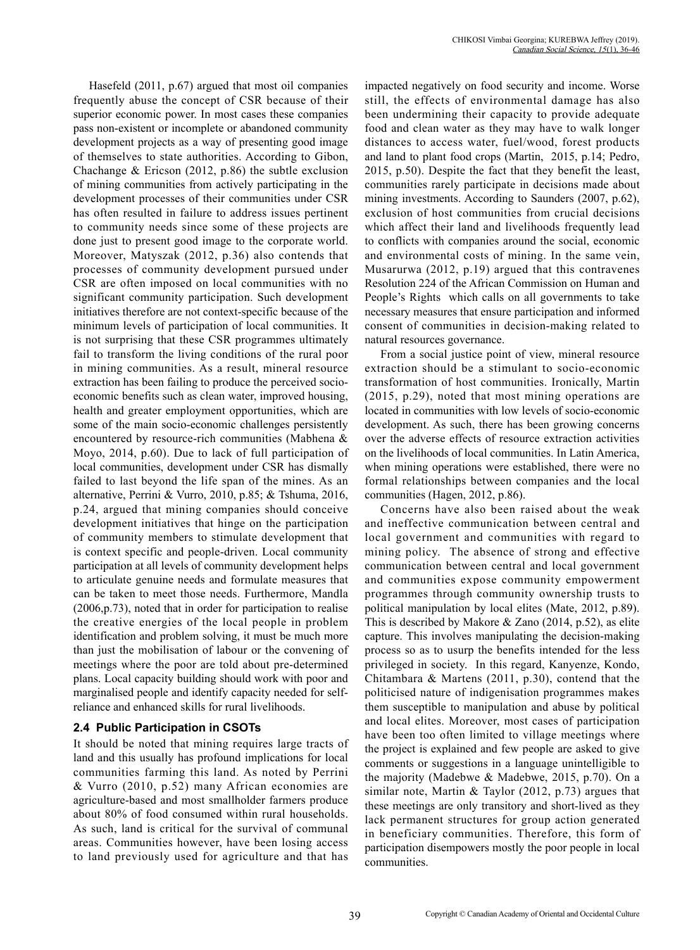Hasefeld (2011, p.67) argued that most oil companies frequently abuse the concept of CSR because of their superior economic power. In most cases these companies pass non-existent or incomplete or abandoned community development projects as a way of presenting good image of themselves to state authorities. According to Gibon, Chachange  $&$  Ericson (2012, p.86) the subtle exclusion of mining communities from actively participating in the development processes of their communities under CSR has often resulted in failure to address issues pertinent to community needs since some of these projects are done just to present good image to the corporate world. Moreover, Matyszak (2012, p.36) also contends that processes of community development pursued under CSR are often imposed on local communities with no significant community participation. Such development initiatives therefore are not context-specific because of the minimum levels of participation of local communities. It is not surprising that these CSR programmes ultimately fail to transform the living conditions of the rural poor in mining communities. As a result, mineral resource extraction has been failing to produce the perceived socioeconomic benefits such as clean water, improved housing, health and greater employment opportunities, which are some of the main socio-economic challenges persistently encountered by resource-rich communities (Mabhena & Moyo, 2014, p.60). Due to lack of full participation of local communities, development under CSR has dismally failed to last beyond the life span of the mines. As an alternative, Perrini & Vurro, 2010, p.85; & Tshuma, 2016, p.24, argued that mining companies should conceive development initiatives that hinge on the participation of community members to stimulate development that is context specific and people-driven. Local community participation at all levels of community development helps to articulate genuine needs and formulate measures that can be taken to meet those needs. Furthermore, Mandla (2006,p.73), noted that in order for participation to realise the creative energies of the local people in problem identification and problem solving, it must be much more than just the mobilisation of labour or the convening of meetings where the poor are told about pre-determined plans. Local capacity building should work with poor and marginalised people and identify capacity needed for selfreliance and enhanced skills for rural livelihoods.

#### **2.4 Public Participation in CSOTs**

It should be noted that mining requires large tracts of land and this usually has profound implications for local communities farming this land. As noted by Perrini & Vurro (2010, p.52) many African economies are agriculture-based and most smallholder farmers produce about 80% of food consumed within rural households. As such, land is critical for the survival of communal areas. Communities however, have been losing access to land previously used for agriculture and that has

impacted negatively on food security and income. Worse still, the effects of environmental damage has also been undermining their capacity to provide adequate food and clean water as they may have to walk longer distances to access water, fuel/wood, forest products and land to plant food crops (Martin, 2015, p.14; Pedro, 2015, p.50). Despite the fact that they benefit the least, communities rarely participate in decisions made about mining investments. According to Saunders (2007, p.62), exclusion of host communities from crucial decisions which affect their land and livelihoods frequently lead to conflicts with companies around the social, economic and environmental costs of mining. In the same vein, Musarurwa (2012, p.19) argued that this contravenes Resolution 224 of the African Commission on Human and People's Rights which calls on all governments to take necessary measures that ensure participation and informed consent of communities in decision-making related to natural resources governance.

From a social justice point of view, mineral resource extraction should be a stimulant to socio-economic transformation of host communities. Ironically, Martin (2015, p.29), noted that most mining operations are located in communities with low levels of socio-economic development. As such, there has been growing concerns over the adverse effects of resource extraction activities on the livelihoods of local communities. In Latin America, when mining operations were established, there were no formal relationships between companies and the local communities (Hagen, 2012, p.86).

Concerns have also been raised about the weak and ineffective communication between central and local government and communities with regard to mining policy. The absence of strong and effective communication between central and local government and communities expose community empowerment programmes through community ownership trusts to political manipulation by local elites (Mate, 2012, p.89). This is described by Makore & Zano (2014, p.52), as elite capture. This involves manipulating the decision-making process so as to usurp the benefits intended for the less privileged in society. In this regard, Kanyenze, Kondo, Chitambara & Martens (2011, p.30), contend that the politicised nature of indigenisation programmes makes them susceptible to manipulation and abuse by political and local elites. Moreover, most cases of participation have been too often limited to village meetings where the project is explained and few people are asked to give comments or suggestions in a language unintelligible to the majority (Madebwe & Madebwe, 2015, p.70). On a similar note, Martin & Taylor (2012, p.73) argues that these meetings are only transitory and short-lived as they lack permanent structures for group action generated in beneficiary communities. Therefore, this form of participation disempowers mostly the poor people in local communities.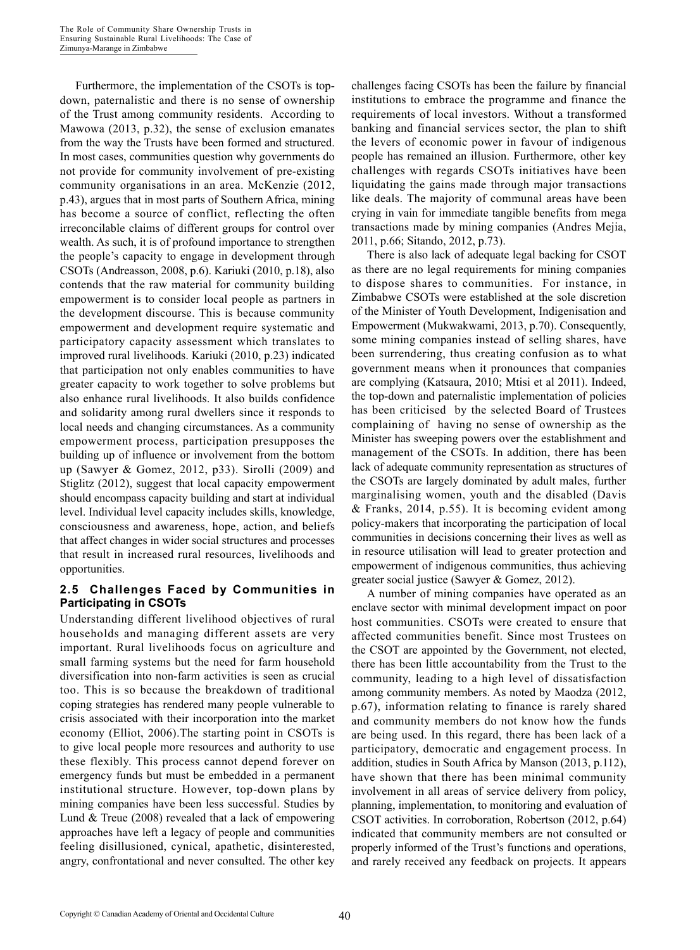Furthermore, the implementation of the CSOTs is topdown, paternalistic and there is no sense of ownership of the Trust among community residents. According to Mawowa (2013, p.32), the sense of exclusion emanates from the way the Trusts have been formed and structured. In most cases, communities question why governments do not provide for community involvement of pre-existing community organisations in an area. McKenzie (2012, p.43), argues that in most parts of Southern Africa, mining has become a source of conflict, reflecting the often irreconcilable claims of different groups for control over wealth. As such, it is of profound importance to strengthen the people's capacity to engage in development through CSOTs (Andreasson, 2008, p.6). Kariuki (2010, p.18), also contends that the raw material for community building empowerment is to consider local people as partners in the development discourse. This is because community empowerment and development require systematic and participatory capacity assessment which translates to improved rural livelihoods. Kariuki (2010, p.23) indicated that participation not only enables communities to have greater capacity to work together to solve problems but also enhance rural livelihoods. It also builds confidence and solidarity among rural dwellers since it responds to local needs and changing circumstances. As a community empowerment process, participation presupposes the building up of influence or involvement from the bottom up (Sawyer & Gomez, 2012, p33). Sirolli (2009) and Stiglitz (2012), suggest that local capacity empowerment should encompass capacity building and start at individual level. Individual level capacity includes skills, knowledge, consciousness and awareness, hope, action, and beliefs that affect changes in wider social structures and processes that result in increased rural resources, livelihoods and opportunities.

#### **2.5 Challenges Faced by Communities in Participating in CSOTs**

Understanding different livelihood objectives of rural households and managing different assets are very important. Rural livelihoods focus on agriculture and small farming systems but the need for farm household diversification into non-farm activities is seen as crucial too. This is so because the breakdown of traditional coping strategies has rendered many people vulnerable to crisis associated with their incorporation into the market economy (Elliot, 2006).The starting point in CSOTs is to give local people more resources and authority to use these flexibly. This process cannot depend forever on emergency funds but must be embedded in a permanent institutional structure. However, top-down plans by mining companies have been less successful. Studies by Lund & Treue (2008) revealed that a lack of empowering approaches have left a legacy of people and communities feeling disillusioned, cynical, apathetic, disinterested, angry, confrontational and never consulted. The other key

challenges facing CSOTs has been the failure by financial institutions to embrace the programme and finance the requirements of local investors. Without a transformed banking and financial services sector, the plan to shift the levers of economic power in favour of indigenous people has remained an illusion. Furthermore, other key challenges with regards CSOTs initiatives have been liquidating the gains made through major transactions like deals. The majority of communal areas have been crying in vain for immediate tangible benefits from mega transactions made by mining companies (Andres Mejia, 2011, p.66; Sitando, 2012, p.73).

There is also lack of adequate legal backing for CSOT as there are no legal requirements for mining companies to dispose shares to communities. For instance, in Zimbabwe CSOTs were established at the sole discretion of the Minister of Youth Development, Indigenisation and Empowerment (Mukwakwami, 2013, p.70). Consequently, some mining companies instead of selling shares, have been surrendering, thus creating confusion as to what government means when it pronounces that companies are complying (Katsaura, 2010; Mtisi et al 2011). Indeed, the top-down and paternalistic implementation of policies has been criticised by the selected Board of Trustees complaining of having no sense of ownership as the Minister has sweeping powers over the establishment and management of the CSOTs. In addition, there has been lack of adequate community representation as structures of the CSOTs are largely dominated by adult males, further marginalising women, youth and the disabled (Davis & Franks, 2014, p.55). It is becoming evident among policy-makers that incorporating the participation of local communities in decisions concerning their lives as well as in resource utilisation will lead to greater protection and empowerment of indigenous communities, thus achieving greater social justice (Sawyer & Gomez, 2012).

A number of mining companies have operated as an enclave sector with minimal development impact on poor host communities. CSOTs were created to ensure that affected communities benefit. Since most Trustees on the CSOT are appointed by the Government, not elected, there has been little accountability from the Trust to the community, leading to a high level of dissatisfaction among community members. As noted by Maodza (2012, p.67), information relating to finance is rarely shared and community members do not know how the funds are being used. In this regard, there has been lack of a participatory, democratic and engagement process. In addition, studies in South Africa by Manson (2013, p.112), have shown that there has been minimal community involvement in all areas of service delivery from policy, planning, implementation, to monitoring and evaluation of CSOT activities. In corroboration, Robertson (2012, p.64) indicated that community members are not consulted or properly informed of the Trust's functions and operations, and rarely received any feedback on projects. It appears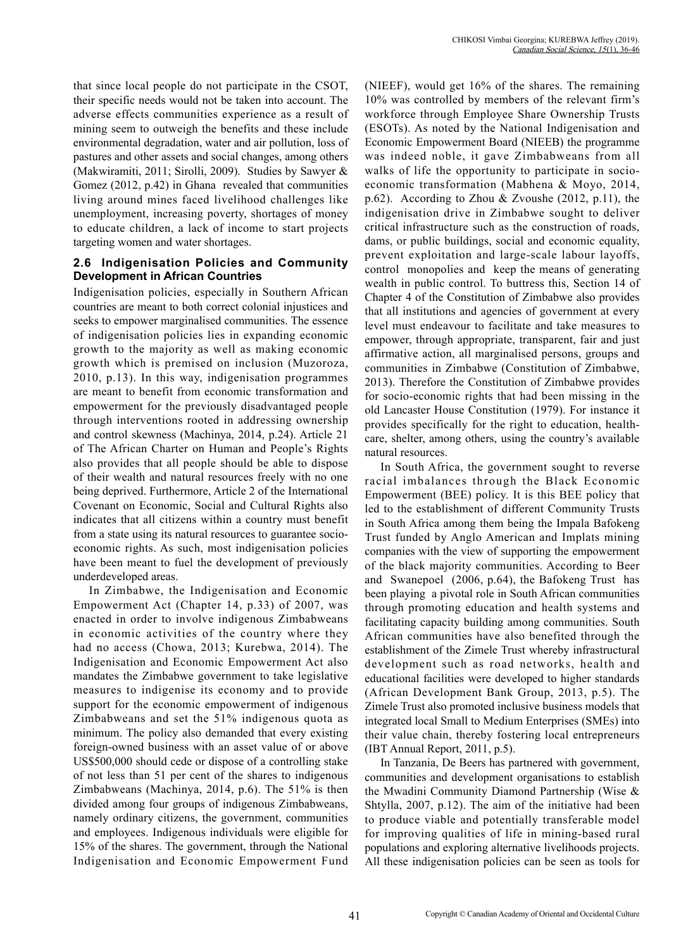that since local people do not participate in the CSOT, their specific needs would not be taken into account. The adverse effects communities experience as a result of mining seem to outweigh the benefits and these include environmental degradation, water and air pollution, loss of pastures and other assets and social changes, among others (Makwiramiti, 2011; Sirolli, 2009). Studies by Sawyer & Gomez (2012, p.42) in Ghana revealed that communities living around mines faced livelihood challenges like unemployment, increasing poverty, shortages of money to educate children, a lack of income to start projects targeting women and water shortages.

#### **2.6 Indigenisation Policies and Community Development in African Countries**

Indigenisation policies, especially in Southern African countries are meant to both correct colonial injustices and seeks to empower marginalised communities. The essence of indigenisation policies lies in expanding economic growth to the majority as well as making economic growth which is premised on inclusion (Muzoroza, 2010, p.13). In this way, indigenisation programmes are meant to benefit from economic transformation and empowerment for the previously disadvantaged people through interventions rooted in addressing ownership and control skewness (Machinya, 2014, p.24). Article 21 of The African Charter on Human and People's Rights also provides that all people should be able to dispose of their wealth and natural resources freely with no one being deprived. Furthermore, Article 2 of the International Covenant on Economic, Social and Cultural Rights also indicates that all citizens within a country must benefit from a state using its natural resources to guarantee socioeconomic rights. As such, most indigenisation policies have been meant to fuel the development of previously underdeveloped areas.

In Zimbabwe, the Indigenisation and Economic Empowerment Act (Chapter 14, p.33) of 2007, was enacted in order to involve indigenous Zimbabweans in economic activities of the country where they had no access (Chowa, 2013; Kurebwa, 2014). The Indigenisation and Economic Empowerment Act also mandates the Zimbabwe government to take legislative measures to indigenise its economy and to provide support for the economic empowerment of indigenous Zimbabweans and set the 51% indigenous quota as minimum. The policy also demanded that every existing foreign-owned business with an asset value of or above US\$500,000 should cede or dispose of a controlling stake of not less than 51 per cent of the shares to indigenous Zimbabweans (Machinya, 2014, p.6). The 51% is then divided among four groups of indigenous Zimbabweans, namely ordinary citizens, the government, communities and employees. Indigenous individuals were eligible for 15% of the shares. The government, through the National Indigenisation and Economic Empowerment Fund (NIEEF), would get 16% of the shares. The remaining 10% was controlled by members of the relevant firm's workforce through Employee Share Ownership Trusts (ESOTs). As noted by the National Indigenisation and Economic Empowerment Board (NIEEB) the programme was indeed noble, it gave Zimbabweans from all walks of life the opportunity to participate in socioeconomic transformation (Mabhena & Moyo, 2014, p.62). According to Zhou & Zvoushe (2012, p.11), the indigenisation drive in Zimbabwe sought to deliver critical infrastructure such as the construction of roads, dams, or public buildings, social and economic equality, prevent exploitation and large-scale labour layoffs, control monopolies and keep the means of generating wealth in public control. To buttress this, Section 14 of Chapter 4 of the Constitution of Zimbabwe also provides that all institutions and agencies of government at every level must endeavour to facilitate and take measures to empower, through appropriate, transparent, fair and just affirmative action, all marginalised persons, groups and communities in Zimbabwe (Constitution of Zimbabwe, 2013). Therefore the Constitution of Zimbabwe provides for socio-economic rights that had been missing in the old Lancaster House Constitution (1979). For instance it provides specifically for the right to education, healthcare, shelter, among others, using the country's available natural resources.

In South Africa, the government sought to reverse racial imbalances through the Black Economic Empowerment (BEE) policy. It is this BEE policy that led to the establishment of different Community Trusts in South Africa among them being the Impala Bafokeng Trust funded by Anglo American and Implats mining companies with the view of supporting the empowerment of the black majority communities. According to Beer and Swanepoel (2006, p.64), the Bafokeng Trust has been playing a pivotal role in South African communities through promoting education and health systems and facilitating capacity building among communities. South African communities have also benefited through the establishment of the Zimele Trust whereby infrastructural development such as road networks, health and educational facilities were developed to higher standards (African Development Bank Group, 2013, p.5). The Zimele Trust also promoted inclusive business models that integrated local Small to Medium Enterprises (SMEs) into their value chain, thereby fostering local entrepreneurs (IBT Annual Report, 2011, p.5).

In Tanzania, De Beers has partnered with government, communities and development organisations to establish the Mwadini Community Diamond Partnership (Wise & Shtylla, 2007, p.12). The aim of the initiative had been to produce viable and potentially transferable model for improving qualities of life in mining-based rural populations and exploring alternative livelihoods projects. All these indigenisation policies can be seen as tools for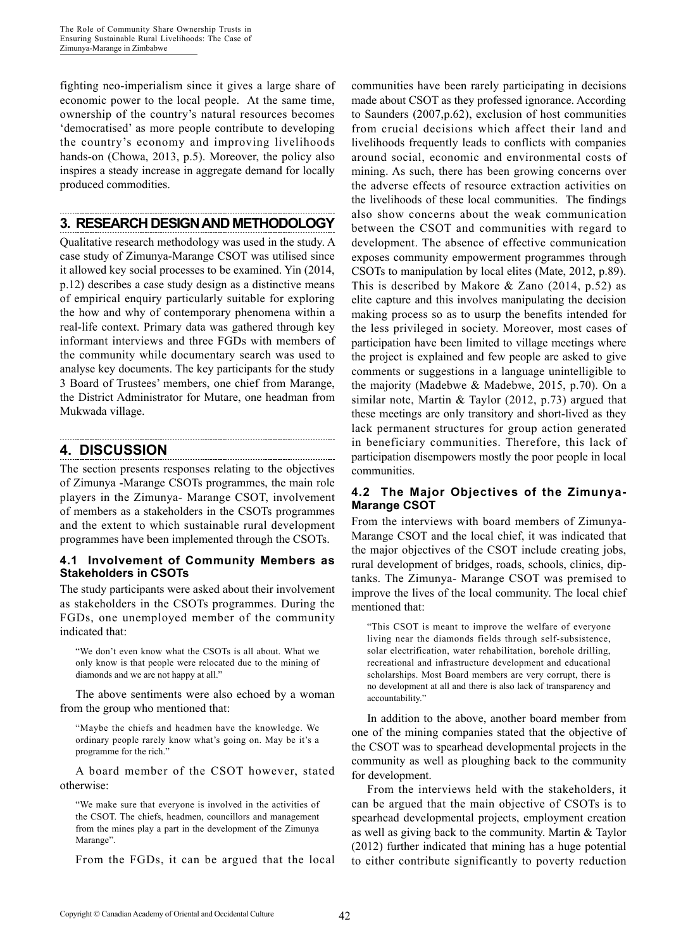fighting neo-imperialism since it gives a large share of economic power to the local people. At the same time, ownership of the country's natural resources becomes 'democratised' as more people contribute to developing the country's economy and improving livelihoods hands-on (Chowa, 2013, p.5). Moreover, the policy also inspires a steady increase in aggregate demand for locally produced commodities.

## **3. RESEARCH DESIGN AND METHODOLOGY**

Qualitative research methodology was used in the study. A case study of Zimunya-Marange CSOT was utilised since it allowed key social processes to be examined. Yin (2014, p.12) describes a case study design as a distinctive means of empirical enquiry particularly suitable for exploring the how and why of contemporary phenomena within a real-life context. Primary data was gathered through key informant interviews and three FGDs with members of the community while documentary search was used to analyse key documents. The key participants for the study 3 Board of Trustees' members, one chief from Marange, the District Administrator for Mutare, one headman from Mukwada village.

# **4. DISCUSSION**

The section presents responses relating to the objectives of Zimunya -Marange CSOTs programmes, the main role players in the Zimunya- Marange CSOT, involvement of members as a stakeholders in the CSOTs programmes and the extent to which sustainable rural development programmes have been implemented through the CSOTs.

#### **4.1 Involvement of Community Members as Stakeholders in CSOTs**

The study participants were asked about their involvement as stakeholders in the CSOTs programmes. During the FGDs, one unemployed member of the community indicated that:

"We don't even know what the CSOTs is all about. What we only know is that people were relocated due to the mining of diamonds and we are not happy at all."

The above sentiments were also echoed by a woman from the group who mentioned that:

"Maybe the chiefs and headmen have the knowledge. We ordinary people rarely know what's going on. May be it's a programme for the rich."

A board member of the CSOT however, stated otherwise:

"We make sure that everyone is involved in the activities of the CSOT. The chiefs, headmen, councillors and management from the mines play a part in the development of the Zimunya Marange".

From the FGDs, it can be argued that the local

communities have been rarely participating in decisions made about CSOT as they professed ignorance. According to Saunders (2007,p.62), exclusion of host communities from crucial decisions which affect their land and livelihoods frequently leads to conflicts with companies around social, economic and environmental costs of mining. As such, there has been growing concerns over the adverse effects of resource extraction activities on the livelihoods of these local communities. The findings also show concerns about the weak communication between the CSOT and communities with regard to development. The absence of effective communication exposes community empowerment programmes through CSOTs to manipulation by local elites (Mate, 2012, p.89). This is described by Makore & Zano  $(2014, p.52)$  as elite capture and this involves manipulating the decision making process so as to usurp the benefits intended for the less privileged in society. Moreover, most cases of participation have been limited to village meetings where the project is explained and few people are asked to give comments or suggestions in a language unintelligible to the majority (Madebwe & Madebwe, 2015, p.70). On a similar note, Martin & Taylor (2012, p.73) argued that these meetings are only transitory and short-lived as they lack permanent structures for group action generated in beneficiary communities. Therefore, this lack of participation disempowers mostly the poor people in local communities.

#### **4.2 The Major Objectives of the Zimunya-Marange CSOT**

From the interviews with board members of Zimunya-Marange CSOT and the local chief, it was indicated that the major objectives of the CSOT include creating jobs, rural development of bridges, roads, schools, clinics, diptanks. The Zimunya- Marange CSOT was premised to improve the lives of the local community. The local chief mentioned that:

"This CSOT is meant to improve the welfare of everyone living near the diamonds fields through self-subsistence, solar electrification, water rehabilitation, borehole drilling, recreational and infrastructure development and educational scholarships. Most Board members are very corrupt, there is no development at all and there is also lack of transparency and accountability."

In addition to the above, another board member from one of the mining companies stated that the objective of the CSOT was to spearhead developmental projects in the community as well as ploughing back to the community for development.

From the interviews held with the stakeholders, it can be argued that the main objective of CSOTs is to spearhead developmental projects, employment creation as well as giving back to the community. Martin & Taylor (2012) further indicated that mining has a huge potential to either contribute significantly to poverty reduction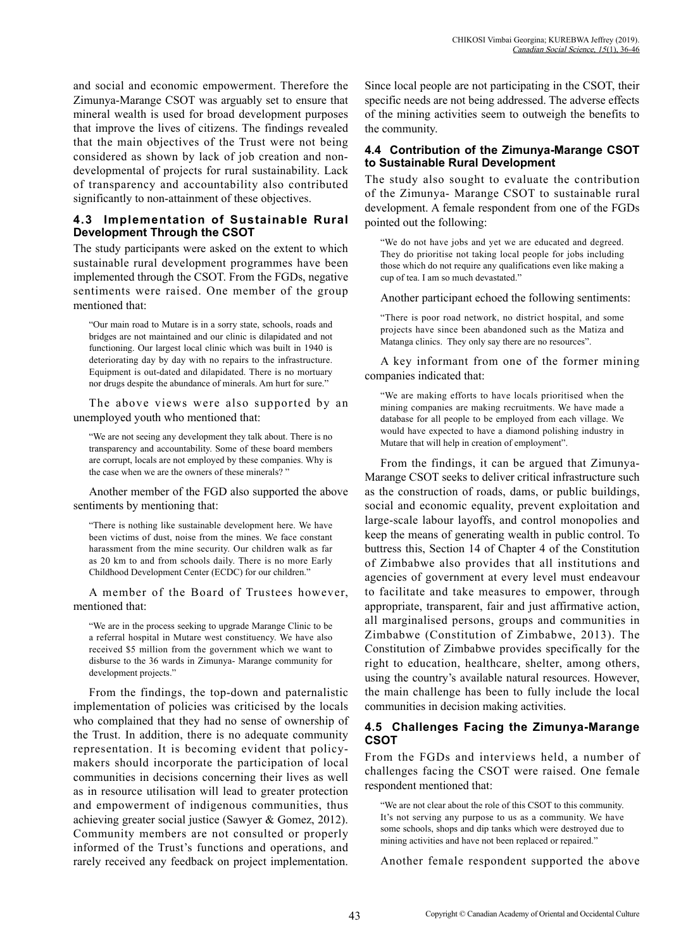and social and economic empowerment. Therefore the Zimunya-Marange CSOT was arguably set to ensure that mineral wealth is used for broad development purposes that improve the lives of citizens. The findings revealed that the main objectives of the Trust were not being considered as shown by lack of job creation and nondevelopmental of projects for rural sustainability. Lack of transparency and accountability also contributed significantly to non-attainment of these objectives.

#### **4.3 Implementation of Sustainable Rural Development Through the CSOT**

The study participants were asked on the extent to which sustainable rural development programmes have been implemented through the CSOT. From the FGDs, negative sentiments were raised. One member of the group mentioned that:

"Our main road to Mutare is in a sorry state, schools, roads and bridges are not maintained and our clinic is dilapidated and not functioning. Our largest local clinic which was built in 1940 is deteriorating day by day with no repairs to the infrastructure. Equipment is out-dated and dilapidated. There is no mortuary nor drugs despite the abundance of minerals. Am hurt for sure."

The above views were also supported by an unemployed youth who mentioned that:

"We are not seeing any development they talk about. There is no transparency and accountability. Some of these board members are corrupt, locals are not employed by these companies. Why is the case when we are the owners of these minerals? "

Another member of the FGD also supported the above sentiments by mentioning that:

"There is nothing like sustainable development here. We have been victims of dust, noise from the mines. We face constant harassment from the mine security. Our children walk as far as 20 km to and from schools daily. There is no more Early Childhood Development Center (ECDC) for our children."

A member of the Board of Trustees however, mentioned that:

"We are in the process seeking to upgrade Marange Clinic to be a referral hospital in Mutare west constituency. We have also received \$5 million from the government which we want to disburse to the 36 wards in Zimunya- Marange community for development projects."

From the findings, the top-down and paternalistic implementation of policies was criticised by the locals who complained that they had no sense of ownership of the Trust. In addition, there is no adequate community representation. It is becoming evident that policymakers should incorporate the participation of local communities in decisions concerning their lives as well as in resource utilisation will lead to greater protection and empowerment of indigenous communities, thus achieving greater social justice (Sawyer & Gomez, 2012). Community members are not consulted or properly informed of the Trust's functions and operations, and rarely received any feedback on project implementation. Since local people are not participating in the CSOT, their specific needs are not being addressed. The adverse effects of the mining activities seem to outweigh the benefits to the community.

#### **4.4 Contribution of the Zimunya-Marange CSOT to Sustainable Rural Development**

The study also sought to evaluate the contribution of the Zimunya- Marange CSOT to sustainable rural development. A female respondent from one of the FGDs pointed out the following:

"We do not have jobs and yet we are educated and degreed. They do prioritise not taking local people for jobs including those which do not require any qualifications even like making a cup of tea. I am so much devastated."

Another participant echoed the following sentiments:

"There is poor road network, no district hospital, and some projects have since been abandoned such as the Matiza and Matanga clinics. They only say there are no resources".

A key informant from one of the former mining companies indicated that:

"We are making efforts to have locals prioritised when the mining companies are making recruitments. We have made a database for all people to be employed from each village. We would have expected to have a diamond polishing industry in Mutare that will help in creation of employment".

From the findings, it can be argued that Zimunya-Marange CSOT seeks to deliver critical infrastructure such as the construction of roads, dams, or public buildings, social and economic equality, prevent exploitation and large-scale labour layoffs, and control monopolies and keep the means of generating wealth in public control. To buttress this, Section 14 of Chapter 4 of the Constitution of Zimbabwe also provides that all institutions and agencies of government at every level must endeavour to facilitate and take measures to empower, through appropriate, transparent, fair and just affirmative action, all marginalised persons, groups and communities in Zimbabwe (Constitution of Zimbabwe, 2013). The Constitution of Zimbabwe provides specifically for the right to education, healthcare, shelter, among others, using the country's available natural resources. However, the main challenge has been to fully include the local communities in decision making activities.

#### **4.5 Challenges Facing the Zimunya-Marange CSOT**

From the FGDs and interviews held, a number of challenges facing the CSOT were raised. One female respondent mentioned that:

"We are not clear about the role of this CSOT to this community. It's not serving any purpose to us as a community. We have some schools, shops and dip tanks which were destroyed due to mining activities and have not been replaced or repaired."

Another female respondent supported the above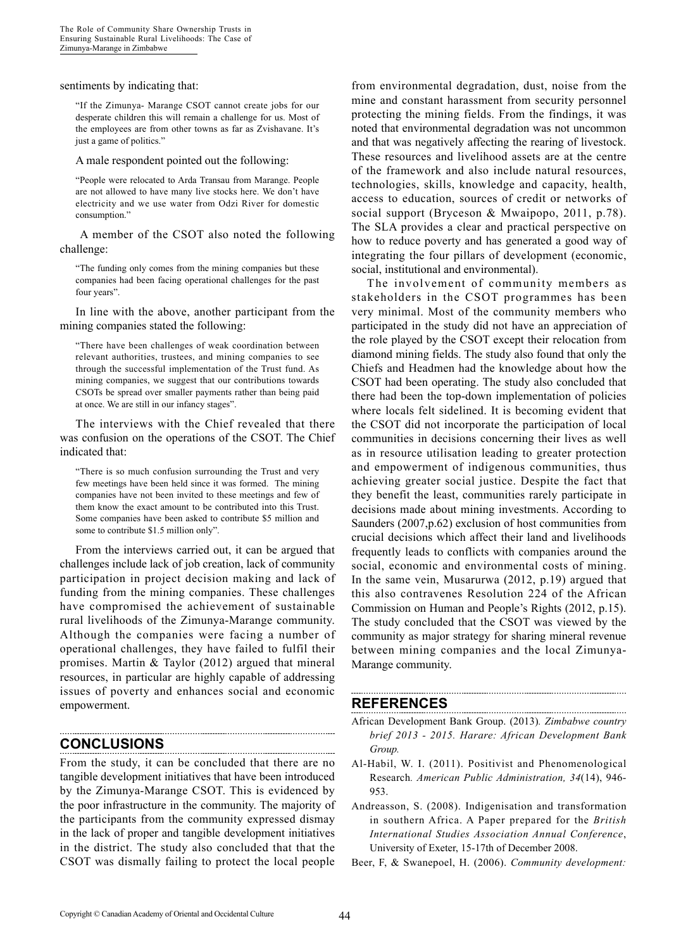sentiments by indicating that:

"If the Zimunya- Marange CSOT cannot create jobs for our desperate children this will remain a challenge for us. Most of the employees are from other towns as far as Zvishavane. It's just a game of politics."

A male respondent pointed out the following:

"People were relocated to Arda Transau from Marange. People are not allowed to have many live stocks here. We don't have electricity and we use water from Odzi River for domestic consumption."

A member of the CSOT also noted the following challenge:

"The funding only comes from the mining companies but these companies had been facing operational challenges for the past four years".

In line with the above, another participant from the mining companies stated the following:

"There have been challenges of weak coordination between relevant authorities, trustees, and mining companies to see through the successful implementation of the Trust fund. As mining companies, we suggest that our contributions towards CSOTs be spread over smaller payments rather than being paid at once. We are still in our infancy stages".

The interviews with the Chief revealed that there was confusion on the operations of the CSOT. The Chief indicated that:

"There is so much confusion surrounding the Trust and very few meetings have been held since it was formed. The mining companies have not been invited to these meetings and few of them know the exact amount to be contributed into this Trust. Some companies have been asked to contribute \$5 million and some to contribute \$1.5 million only".

From the interviews carried out, it can be argued that challenges include lack of job creation, lack of community participation in project decision making and lack of funding from the mining companies. These challenges have compromised the achievement of sustainable rural livelihoods of the Zimunya-Marange community. Although the companies were facing a number of operational challenges, they have failed to fulfil their promises. Martin & Taylor (2012) argued that mineral resources, in particular are highly capable of addressing issues of poverty and enhances social and economic empowerment.

### **CONCLUSIONS**

From the study, it can be concluded that there are no tangible development initiatives that have been introduced by the Zimunya-Marange CSOT. This is evidenced by the poor infrastructure in the community. The majority of the participants from the community expressed dismay in the lack of proper and tangible development initiatives in the district. The study also concluded that that the CSOT was dismally failing to protect the local people

from environmental degradation, dust, noise from the mine and constant harassment from security personnel protecting the mining fields. From the findings, it was noted that environmental degradation was not uncommon and that was negatively affecting the rearing of livestock. These resources and livelihood assets are at the centre of the framework and also include natural resources, technologies, skills, knowledge and capacity, health, access to education, sources of credit or networks of social support (Bryceson & Mwaipopo, 2011, p.78). The SLA provides a clear and practical perspective on how to reduce poverty and has generated a good way of integrating the four pillars of development (economic, social, institutional and environmental).

The involvement of community members as stakeholders in the CSOT programmes has been very minimal. Most of the community members who participated in the study did not have an appreciation of the role played by the CSOT except their relocation from diamond mining fields. The study also found that only the Chiefs and Headmen had the knowledge about how the CSOT had been operating. The study also concluded that there had been the top-down implementation of policies where locals felt sidelined. It is becoming evident that the CSOT did not incorporate the participation of local communities in decisions concerning their lives as well as in resource utilisation leading to greater protection and empowerment of indigenous communities, thus achieving greater social justice. Despite the fact that they benefit the least, communities rarely participate in decisions made about mining investments. According to Saunders (2007,p.62) exclusion of host communities from crucial decisions which affect their land and livelihoods frequently leads to conflicts with companies around the social, economic and environmental costs of mining. In the same vein, Musarurwa (2012, p.19) argued that this also contravenes Resolution 224 of the African Commission on Human and People's Rights (2012, p.15). The study concluded that the CSOT was viewed by the community as major strategy for sharing mineral revenue between mining companies and the local Zimunya-Marange community.

### **REFERENCES**

African Development Bank Group. (2013)*. Zimbabwe country brief 2013 - 2015. Harare: African Development Bank Group.*

- Al-Habil, W. I. (2011). Positivist and Phenomenological Research*. American Public Administration, 34*(14), 946- 953.
- Andreasson, S. (2008). Indigenisation and transformation in southern Africa. A Paper prepared for the *British International Studies Association Annual Conference*, University of Exeter, 15-17th of December 2008.
- Beer, F, & Swanepoel, H. (2006). *Community development:*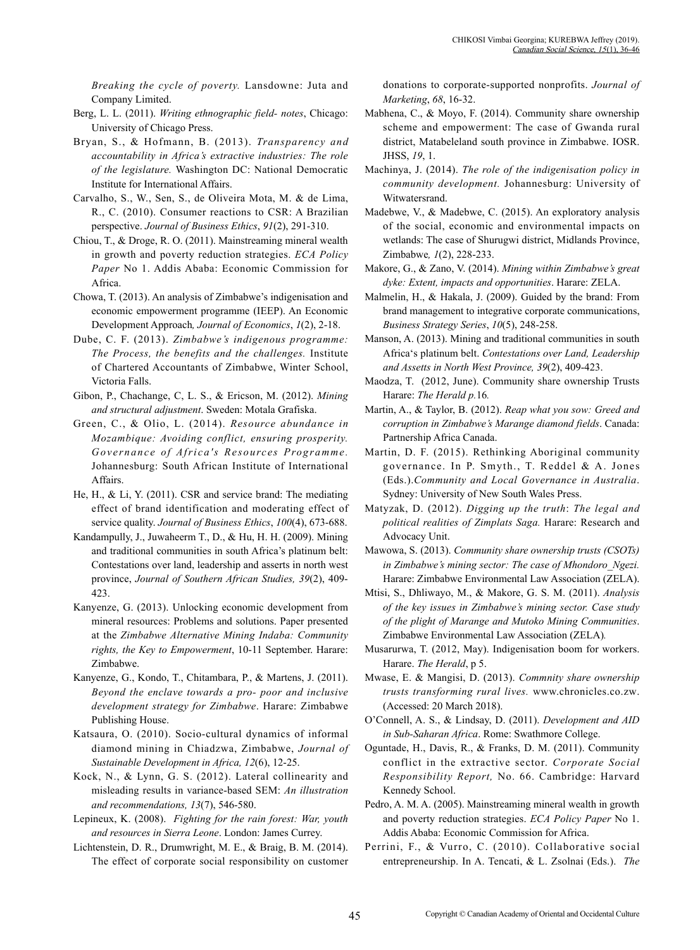*Breaking the cycle of poverty.* Lansdowne: Juta and Company Limited.

- Berg, L. L. (2011). *Writing ethnographic field- notes*, Chicago: University of Chicago Press.
- Bryan, S., & Hofmann, B. (2013). *Transparency and accountability in Africa's extractive industries: The role of the legislature.* Washington DC: National Democratic Institute for International Affairs.
- Carvalho, S., W., Sen, S., de Oliveira Mota, M. & de Lima, R., C. (2010). Consumer reactions to CSR: A Brazilian perspective. *Journal of Business Ethics*, *91*(2), 291-310.
- Chiou, T., & Droge, R. O. (2011). Mainstreaming mineral wealth in growth and poverty reduction strategies. *ECA Policy Paper* No 1. Addis Ababa: Economic Commission for Africa.
- Chowa, T. (2013). An analysis of Zimbabwe's indigenisation and economic empowerment programme (IEEP). An Economic Development Approach*, Journal of Economics*, *1*(2), 2-18.
- Dube, C. F. (2013). *Zimbabwe's indigenous programme: The Process, the benefits and the challenges.* Institute of Chartered Accountants of Zimbabwe, Winter School, Victoria Falls.
- Gibon, P., Chachange, C, L. S., & Ericson, M. (2012). *Mining and structural adjustment*. Sweden: Motala Grafiska.
- Green, C., & Olio, L. (2014). *Resource abundance in Mozambique: Avoiding conflict, ensuring prosperity. Governance of Africa's Resources Programme.*  Johannesburg: South African Institute of International Affairs.
- He, H., & Li, Y. (2011). CSR and service brand: The mediating effect of brand identification and moderating effect of service quality. *Journal of Business Ethics*, *100*(4), 673-688.
- Kandampully, J., Juwaheerm T., D., & Hu, H. H. (2009). Mining and traditional communities in south Africa's platinum belt: Contestations over land, leadership and asserts in north west province, *Journal of Southern African Studies, 39*(2), 409- 423.
- Kanyenze, G. (2013). Unlocking economic development from mineral resources: Problems and solutions. Paper presented at the *Zimbabwe Alternative Mining Indaba: Community rights, the Key to Empowerment*, 10-11 September. Harare: Zimbabwe.
- Kanyenze, G., Kondo, T., Chitambara, P., & Martens, J. (2011). *Beyond the enclave towards a pro- poor and inclusive development strategy for Zimbabwe*. Harare: Zimbabwe Publishing House.
- Katsaura, O. (2010). Socio-cultural dynamics of informal diamond mining in Chiadzwa, Zimbabwe, *Journal of Sustainable Development in Africa, 12*(6), 12-25.
- Kock, N., & Lynn, G. S. (2012). Lateral collinearity and misleading results in variance-based SEM: *An illustration and recommendations, 13*(7), 546-580.
- Lepineux, K. (2008). *Fighting for the rain forest: War, youth and resources in Sierra Leone*. London: James Currey.
- Lichtenstein, D. R., Drumwright, M. E., & Braig, B. M. (2014). The effect of corporate social responsibility on customer

donations to corporate-supported nonprofits. *Journal of Marketing*, *68*, 16-32.

- Mabhena, C., & Moyo, F. (2014). Community share ownership scheme and empowerment: The case of Gwanda rural district, Matabeleland south province in Zimbabwe. IOSR. JHSS, *19*, 1.
- Machinya, J. (2014). *The role of the indigenisation policy in community development.* Johannesburg: University of Witwatersrand.
- Madebwe, V., & Madebwe, C. (2015). An exploratory analysis of the social, economic and environmental impacts on wetlands: The case of Shurugwi district, Midlands Province, Zimbabwe*, 1*(2), 228-233.
- Makore, G., & Zano, V. (2014). *Mining within Zimbabwe's great dyke: Extent, impacts and opportunities*. Harare: ZELA.
- Malmelin, H., & Hakala, J. (2009). Guided by the brand: From brand management to integrative corporate communications, *Business Strategy Series*, *10*(5), 248-258.
- Manson, A. (2013). Mining and traditional communities in south Africa's platinum belt. *Contestations over Land, Leadership and Assetts in North West Province, 39*(2), 409-423.
- Maodza, T. (2012, June). Community share ownership Trusts Harare: *The Herald p.*16*.*
- Martin, A., & Taylor, B. (2012). *Reap what you sow: Greed and corruption in Zimbabwe's Marange diamond fields*. Canada: Partnership Africa Canada.
- Martin, D. F. (2015). Rethinking Aboriginal community governance. In P. Smyth., T. Reddel & A. Jones (Eds.).*Community and Local Governance in Australia*. Sydney: University of New South Wales Press.
- Matyzak, D. (2012). *Digging up the truth*: *The legal and political realities of Zimplats Saga.* Harare: Research and Advocacy Unit.
- Mawowa, S. (2013). *Community share ownership trusts (CSOTs) in Zimbabwe's mining sector: The case of Mhondoro\_Ngezi.*  Harare: Zimbabwe Environmental Law Association (ZELA).
- Mtisi, S., Dhliwayo, M., & Makore, G. S. M. (2011). *Analysis of the key issues in Zimbabwe's mining sector. Case study of the plight of Marange and Mutoko Mining Communities*. Zimbabwe Environmental Law Association (ZELA)*.*
- Musarurwa, T. (2012, May). Indigenisation boom for workers. Harare. *The Herald*, p 5.
- Mwase, E. & Mangisi, D. (2013). *Commnity share ownership trusts transforming rural lives.* www.chronicles.co.zw. (Accessed: 20 March 2018).
- O'Connell, A. S., & Lindsay, D. (2011). *Development and AID in Sub-Saharan Africa*. Rome: Swathmore College.
- Oguntade, H., Davis, R., & Franks, D. M. (2011). Community conflict in the extractive sector. *Corporate Social Responsibility Report,* No. 66. Cambridge: Harvard Kennedy School.
- Pedro, A. M. A. (2005). Mainstreaming mineral wealth in growth and poverty reduction strategies. *ECA Policy Paper* No 1. Addis Ababa: Economic Commission for Africa.
- Perrini, F., & Vurro, C. (2010). Collaborative social entrepreneurship. In A. Tencati, & L. Zsolnai (Eds.). *The*